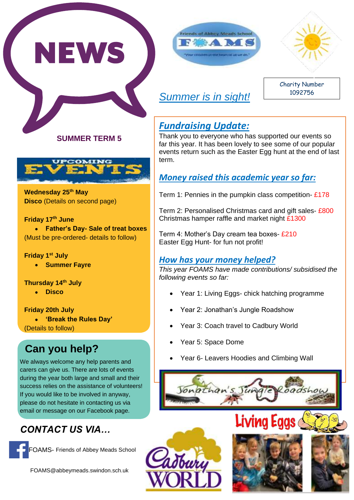





# *Summer is in sight!*

Charity Number 1092756

### **SUMMER TERM 5**



**Wednesday 25th May Disco** (Details on second page)

#### **Friday 17th June**

 **Father's Day- Sale of treat boxes** (Must be pre-ordered- details to follow)

#### **Friday 1st July**

**•** Summer Fayre

**Thursday 14th July**

**Disco**

**Friday 20th July** 

 **'Break the Rules Day'** (Details to follow)

# **Can you help?**

We always welcome any help parents and carers can give us. There are lots of events during the year both large and small and their success relies on the assistance of volunteers! If you would like to be involved in anyway, please do not hesitate in contacting us via email or message on our Facebook page.

# *CONTACT US VIA…*



FOAMS@abbeymeads.swindon.sch.uk

## *Fundraising Update:*

Thank you to everyone who has supported our events so far this year. It has been lovely to see some of our popular events return such as the Easter Egg hunt at the end of last term.

## *Money raised this academic year so far:*

Term 1: Pennies in the pumpkin class competition- £178

Term 2: Personalised Christmas card and gift sales- £800 Christmas hamper raffle and market night £1300

Term 4: Mother's Day cream tea boxes- £210 Easter Egg Hunt- for fun not profit!

## *How has your money helped?*

*This year FOAMS have made contributions/ subsidised the following events so far:*

- Year 1: Living Eggs- chick hatching programme
- Year 2: Jonathan's Jungle Roadshow
- Year 3: Coach travel to Cadbury World
- Year 5: Space Dome
- Year 6- Leavers Hoodies and Climbing Wall